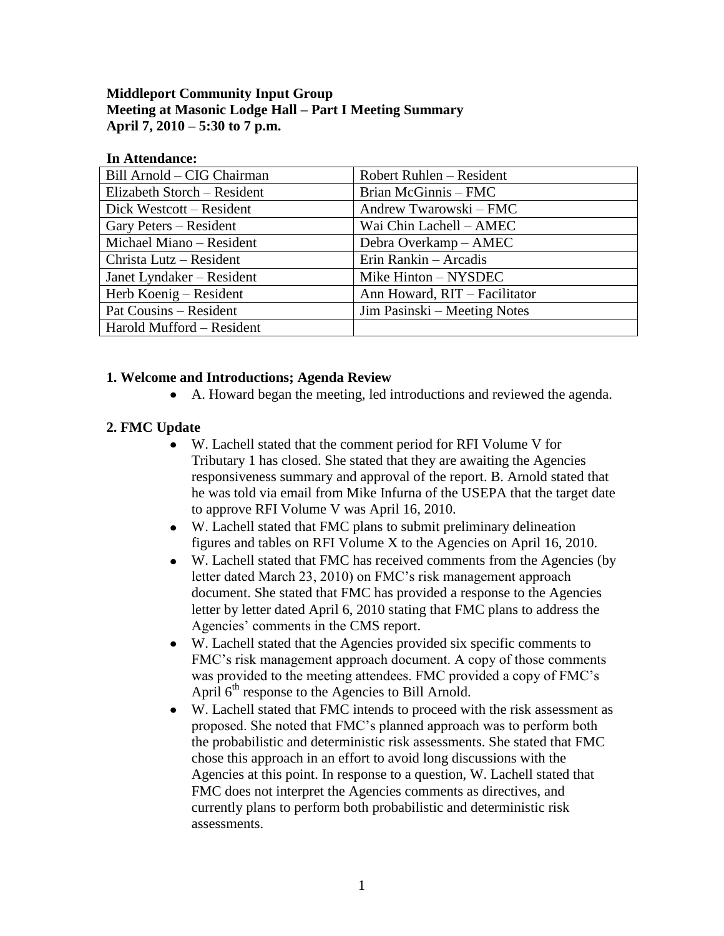### **Middleport Community Input Group Meeting at Masonic Lodge Hall – Part I Meeting Summary April 7, 2010 – 5:30 to 7 p.m.**

#### **In Attendance:**

| Bill Arnold - CIG Chairman  | Robert Ruhlen – Resident      |
|-----------------------------|-------------------------------|
| Elizabeth Storch – Resident | Brian McGinnis - FMC          |
| Dick Westcott – Resident    | Andrew Twarowski - FMC        |
| Gary Peters – Resident      | Wai Chin Lachell - AMEC       |
| Michael Miano - Resident    | Debra Overkamp – AMEC         |
| Christa Lutz – Resident     | Erin Rankin - Arcadis         |
| Janet Lyndaker – Resident   | Mike Hinton – NYSDEC          |
| Herb Koenig – Resident      | Ann Howard, RIT - Facilitator |
| Pat Cousins – Resident      | Jim Pasinski – Meeting Notes  |
| Harold Mufford - Resident   |                               |

#### **1. Welcome and Introductions; Agenda Review**

A. Howard began the meeting, led introductions and reviewed the agenda.

## **2. FMC Update**

- $\bullet$ W. Lachell stated that the comment period for RFI Volume V for Tributary 1 has closed. She stated that they are awaiting the Agencies responsiveness summary and approval of the report. B. Arnold stated that he was told via email from Mike Infurna of the USEPA that the target date to approve RFI Volume V was April 16, 2010.
- W. Lachell stated that FMC plans to submit preliminary delineation figures and tables on RFI Volume X to the Agencies on April 16, 2010.
- W. Lachell stated that FMC has received comments from the Agencies (by letter dated March 23, 2010) on FMC's risk management approach document. She stated that FMC has provided a response to the Agencies letter by letter dated April 6, 2010 stating that FMC plans to address the Agencies' comments in the CMS report.
- W. Lachell stated that the Agencies provided six specific comments to FMC's risk management approach document. A copy of those comments was provided to the meeting attendees. FMC provided a copy of FMC's April 6<sup>th</sup> response to the Agencies to Bill Arnold.
- W. Lachell stated that FMC intends to proceed with the risk assessment as  $\bullet$ proposed. She noted that FMC's planned approach was to perform both the probabilistic and deterministic risk assessments. She stated that FMC chose this approach in an effort to avoid long discussions with the Agencies at this point. In response to a question, W. Lachell stated that FMC does not interpret the Agencies comments as directives, and currently plans to perform both probabilistic and deterministic risk assessments.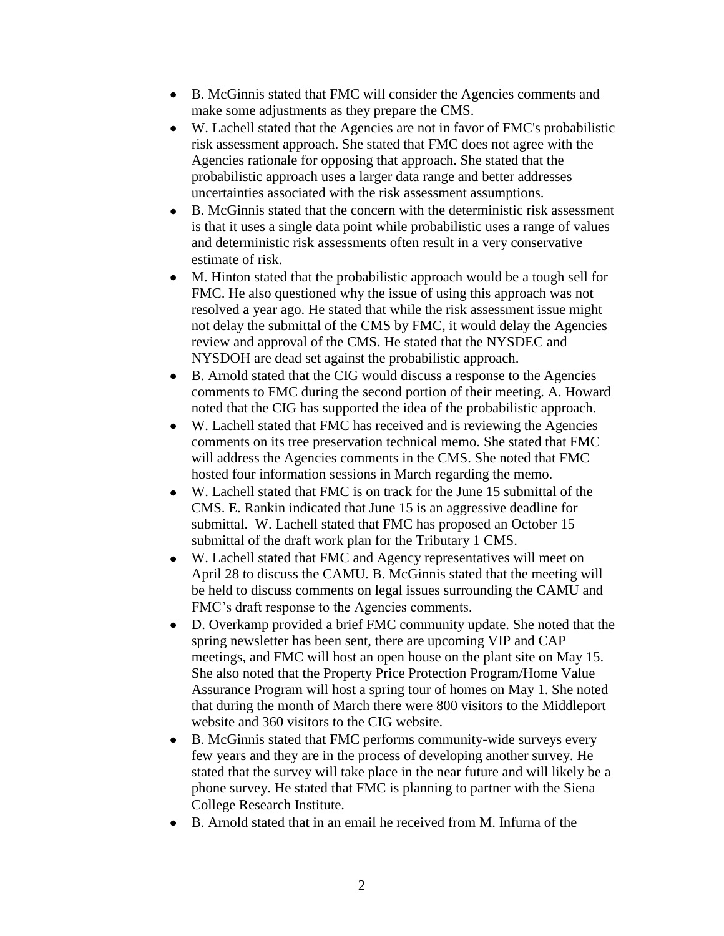- B. McGinnis stated that FMC will consider the Agencies comments and make some adjustments as they prepare the CMS.
- W. Lachell stated that the Agencies are not in favor of FMC's probabilistic  $\bullet$ risk assessment approach. She stated that FMC does not agree with the Agencies rationale for opposing that approach. She stated that the probabilistic approach uses a larger data range and better addresses uncertainties associated with the risk assessment assumptions.
- B. McGinnis stated that the concern with the deterministic risk assessment  $\bullet$ is that it uses a single data point while probabilistic uses a range of values and deterministic risk assessments often result in a very conservative estimate of risk.
- M. Hinton stated that the probabilistic approach would be a tough sell for  $\bullet$ FMC. He also questioned why the issue of using this approach was not resolved a year ago. He stated that while the risk assessment issue might not delay the submittal of the CMS by FMC, it would delay the Agencies review and approval of the CMS. He stated that the NYSDEC and NYSDOH are dead set against the probabilistic approach.
- B. Arnold stated that the CIG would discuss a response to the Agencies  $\bullet$ comments to FMC during the second portion of their meeting. A. Howard noted that the CIG has supported the idea of the probabilistic approach.
- W. Lachell stated that FMC has received and is reviewing the Agencies  $\bullet$ comments on its tree preservation technical memo. She stated that FMC will address the Agencies comments in the CMS. She noted that FMC hosted four information sessions in March regarding the memo.
- W. Lachell stated that FMC is on track for the June 15 submittal of the CMS. E. Rankin indicated that June 15 is an aggressive deadline for submittal. W. Lachell stated that FMC has proposed an October 15 submittal of the draft work plan for the Tributary 1 CMS.
- W. Lachell stated that FMC and Agency representatives will meet on April 28 to discuss the CAMU. B. McGinnis stated that the meeting will be held to discuss comments on legal issues surrounding the CAMU and FMC's draft response to the Agencies comments.
- D. Overkamp provided a brief FMC community update. She noted that the  $\bullet$ spring newsletter has been sent, there are upcoming VIP and CAP meetings, and FMC will host an open house on the plant site on May 15. She also noted that the Property Price Protection Program/Home Value Assurance Program will host a spring tour of homes on May 1. She noted that during the month of March there were 800 visitors to the Middleport website and 360 visitors to the CIG website.
- $\bullet$ B. McGinnis stated that FMC performs community-wide surveys every few years and they are in the process of developing another survey. He stated that the survey will take place in the near future and will likely be a phone survey. He stated that FMC is planning to partner with the Siena College Research Institute.
- B. Arnold stated that in an email he received from M. Infurna of the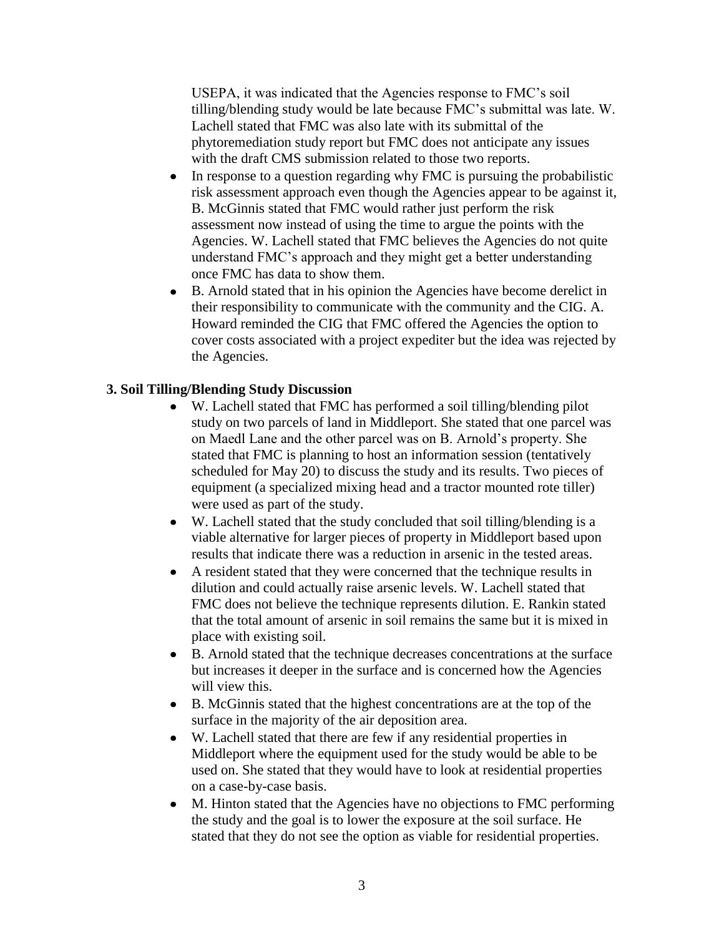USEPA, it was indicated that the Agencies response to FMC's soil tilling/blending study would be late because FMC's submittal was late. W. Lachell stated that FMC was also late with its submittal of the phytoremediation study report but FMC does not anticipate any issues with the draft CMS submission related to those two reports.

- In response to a question regarding why FMC is pursuing the probabilistic  $\bullet$ risk assessment approach even though the Agencies appear to be against it, B. McGinnis stated that FMC would rather just perform the risk assessment now instead of using the time to argue the points with the Agencies. W. Lachell stated that FMC believes the Agencies do not quite understand FMC's approach and they might get a better understanding once FMC has data to show them.
- $\bullet$ B. Arnold stated that in his opinion the Agencies have become derelict in their responsibility to communicate with the community and the CIG. A. Howard reminded the CIG that FMC offered the Agencies the option to cover costs associated with a project expediter but the idea was rejected by the Agencies.

#### **3. Soil Tilling/Blending Study Discussion**

- W. Lachell stated that FMC has performed a soil tilling/blending pilot study on two parcels of land in Middleport. She stated that one parcel was on Maedl Lane and the other parcel was on B. Arnold's property. She stated that FMC is planning to host an information session (tentatively scheduled for May 20) to discuss the study and its results. Two pieces of equipment (a specialized mixing head and a tractor mounted rote tiller) were used as part of the study.
- W. Lachell stated that the study concluded that soil tilling/blending is a viable alternative for larger pieces of property in Middleport based upon results that indicate there was a reduction in arsenic in the tested areas.
- $\bullet$ A resident stated that they were concerned that the technique results in dilution and could actually raise arsenic levels. W. Lachell stated that FMC does not believe the technique represents dilution. E. Rankin stated that the total amount of arsenic in soil remains the same but it is mixed in place with existing soil.
- B. Arnold stated that the technique decreases concentrations at the surface but increases it deeper in the surface and is concerned how the Agencies will view this.
- B. McGinnis stated that the highest concentrations are at the top of the surface in the majority of the air deposition area.
- W. Lachell stated that there are few if any residential properties in  $\bullet$ Middleport where the equipment used for the study would be able to be used on. She stated that they would have to look at residential properties on a case-by-case basis.
- M. Hinton stated that the Agencies have no objections to FMC performing  $\bullet$ the study and the goal is to lower the exposure at the soil surface. He stated that they do not see the option as viable for residential properties.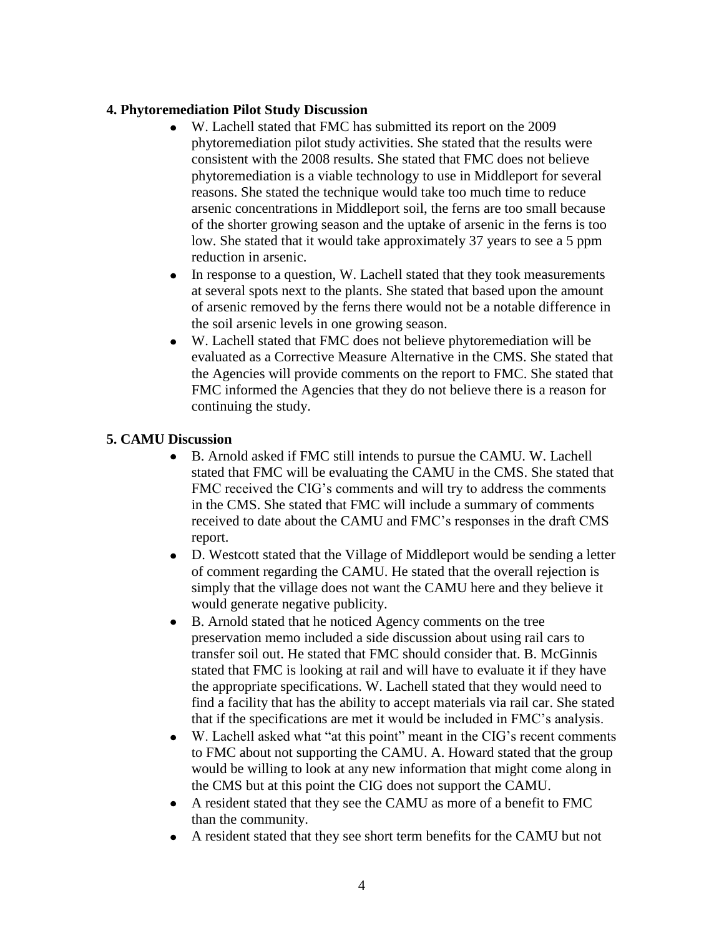#### **4. Phytoremediation Pilot Study Discussion**

- W. Lachell stated that FMC has submitted its report on the 2009 phytoremediation pilot study activities. She stated that the results were consistent with the 2008 results. She stated that FMC does not believe phytoremediation is a viable technology to use in Middleport for several reasons. She stated the technique would take too much time to reduce arsenic concentrations in Middleport soil, the ferns are too small because of the shorter growing season and the uptake of arsenic in the ferns is too low. She stated that it would take approximately 37 years to see a 5 ppm reduction in arsenic.
- In response to a question, W. Lachell stated that they took measurements at several spots next to the plants. She stated that based upon the amount of arsenic removed by the ferns there would not be a notable difference in the soil arsenic levels in one growing season.
- W. Lachell stated that FMC does not believe phytoremediation will be  $\bullet$ evaluated as a Corrective Measure Alternative in the CMS. She stated that the Agencies will provide comments on the report to FMC. She stated that FMC informed the Agencies that they do not believe there is a reason for continuing the study.

# **5. CAMU Discussion**

- B. Arnold asked if FMC still intends to pursue the CAMU. W. Lachell  $\bullet$ stated that FMC will be evaluating the CAMU in the CMS. She stated that FMC received the CIG's comments and will try to address the comments in the CMS. She stated that FMC will include a summary of comments received to date about the CAMU and FMC's responses in the draft CMS report.
- D. Westcott stated that the Village of Middleport would be sending a letter  $\bullet$ of comment regarding the CAMU. He stated that the overall rejection is simply that the village does not want the CAMU here and they believe it would generate negative publicity.
- B. Arnold stated that he noticed Agency comments on the tree  $\bullet$ preservation memo included a side discussion about using rail cars to transfer soil out. He stated that FMC should consider that. B. McGinnis stated that FMC is looking at rail and will have to evaluate it if they have the appropriate specifications. W. Lachell stated that they would need to find a facility that has the ability to accept materials via rail car. She stated that if the specifications are met it would be included in FMC's analysis.
- W. Lachell asked what "at this point" meant in the CIG's recent comments to FMC about not supporting the CAMU. A. Howard stated that the group would be willing to look at any new information that might come along in the CMS but at this point the CIG does not support the CAMU.
- A resident stated that they see the CAMU as more of a benefit to FMC  $\bullet$ than the community.
- A resident stated that they see short term benefits for the CAMU but not